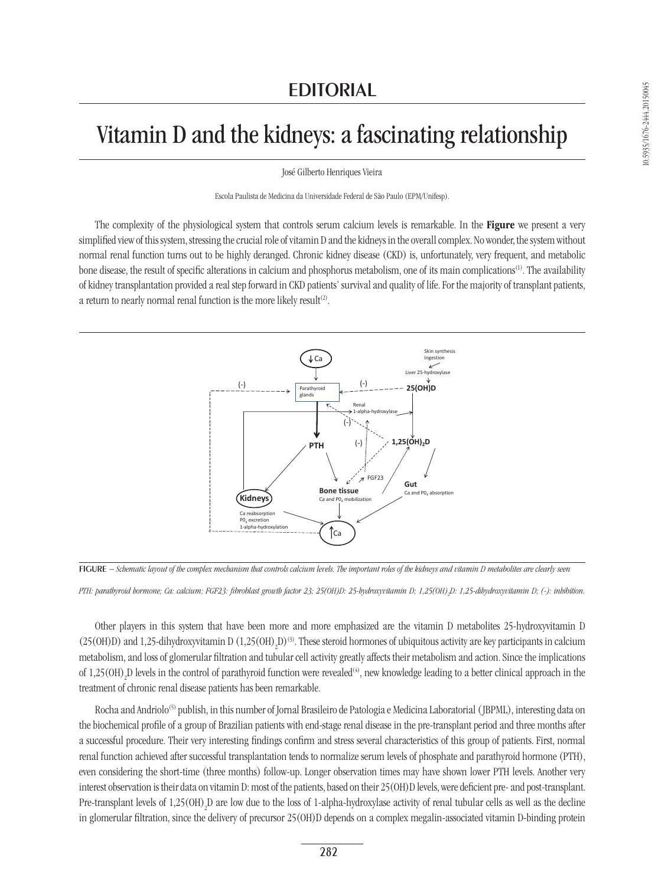## Vitamin D and the kidneys: a fascinating relationship

José Gilberto Henriques Vieira

Escola Paulista de Medicina da Universidade Federal de São Paulo (EPM/Unifesp).

The complexity of the physiological system that controls serum calcium levels is remarkable. In the Figure we present a very simplified view of this system, stressing the crucial role of vitamin D and the kidneys in the overall complex. No wonder, the system without normal renal function turns out to be highly deranged. Chronic kidney disease (CKD) is, unfortunately, very frequent, and metabolic bone disease, the result of specific alterations in calcium and phosphorus metabolism, one of its main complications(1). The availability of kidney transplantation provided a real step forward in CKD patients' survival and quality of life. For the majority of transplant patients, a return to nearly normal renal function is the more likely result<sup>(2)</sup>.



Figure *− Schematic layout of the complex mechanism that controls calcium levels. The important roles of the kidneys and vitamin D metabolites are clearly seen*

*PTH: parathyroid hormone; Ca: calcium; FGF23: fibroblast growth factor 23; 25(OH)D: 25-hydroxyvitamin D; 1,25(OH)2 D: 1,25-dihydroxyvitamin D; (-): inhibition.* 

Other players in this system that have been more and more emphasized are the vitamin D metabolites 25-hydroxyvitamin D  $(25(OH)D)$  and 1,25-dihydroxyvitamin D  $(1,25(OH),D)^{(3)}$ . These steroid hormones of ubiquitous activity are key participants in calcium metabolism, and loss of glomerular filtration and tubular cell activity greatly affects their metabolism and action. Since the implications of 1,25(OH)<sub>2</sub>D levels in the control of parathyroid function were revealed<sup>(4)</sup>, new knowledge leading to a better clinical approach in the treatment of chronic renal disease patients has been remarkable.

Rocha and Andriolo<sup>(5)</sup> publish, in this number of Jornal Brasileiro de Patologia e Medicina Laboratorial (JBPML), interesting data on the biochemical profile of a group of Brazilian patients with end-stage renal disease in the pre-transplant period and three months after a successful procedure. Their very interesting findings confirm and stress several characteristics of this group of patients. First, normal renal function achieved after successful transplantation tends to normalize serum levels of phosphate and parathyroid hormone (PTH), even considering the short-time (three months) follow-up. Longer observation times may have shown lower PTH levels. Another very interest observation is their data on vitamin D: most of the patients, based on their 25(OH)D levels, were deficient pre- and post-transplant. Pre-transplant levels of  $1.25(OH)_2D$  are low due to the loss of 1-alpha-hydroxylase activity of renal tubular cells as well as the decline in glomerular filtration, since the delivery of precursor 25(OH)D depends on a complex megalin-associated vitamin D-binding protein